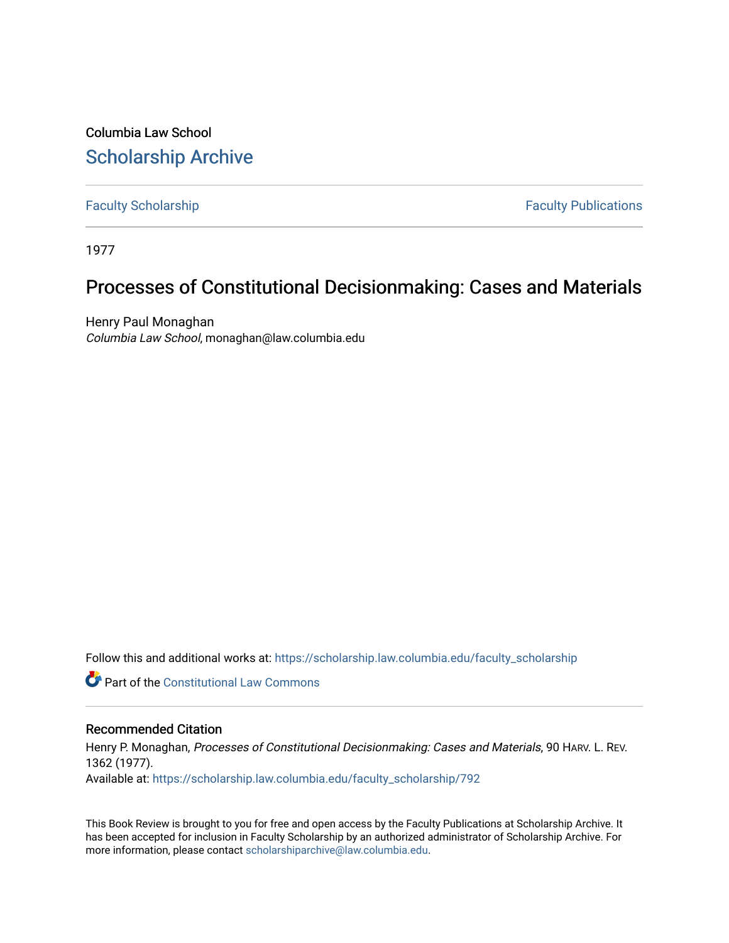Columbia Law School [Scholarship Archive](https://scholarship.law.columbia.edu/) 

[Faculty Scholarship](https://scholarship.law.columbia.edu/faculty_scholarship) **Faculty Scholarship Faculty Publications** 

1977

## Processes of Constitutional Decisionmaking: Cases and Materials

Henry Paul Monaghan Columbia Law School, monaghan@law.columbia.edu

Follow this and additional works at: [https://scholarship.law.columbia.edu/faculty\\_scholarship](https://scholarship.law.columbia.edu/faculty_scholarship?utm_source=scholarship.law.columbia.edu%2Ffaculty_scholarship%2F792&utm_medium=PDF&utm_campaign=PDFCoverPages)

**C** Part of the Constitutional Law Commons

## Recommended Citation

Henry P. Monaghan, Processes of Constitutional Decisionmaking: Cases and Materials, 90 HARV. L. REV. 1362 (1977).

Available at: [https://scholarship.law.columbia.edu/faculty\\_scholarship/792](https://scholarship.law.columbia.edu/faculty_scholarship/792?utm_source=scholarship.law.columbia.edu%2Ffaculty_scholarship%2F792&utm_medium=PDF&utm_campaign=PDFCoverPages) 

This Book Review is brought to you for free and open access by the Faculty Publications at Scholarship Archive. It has been accepted for inclusion in Faculty Scholarship by an authorized administrator of Scholarship Archive. For more information, please contact [scholarshiparchive@law.columbia.edu.](mailto:scholarshiparchive@law.columbia.edu)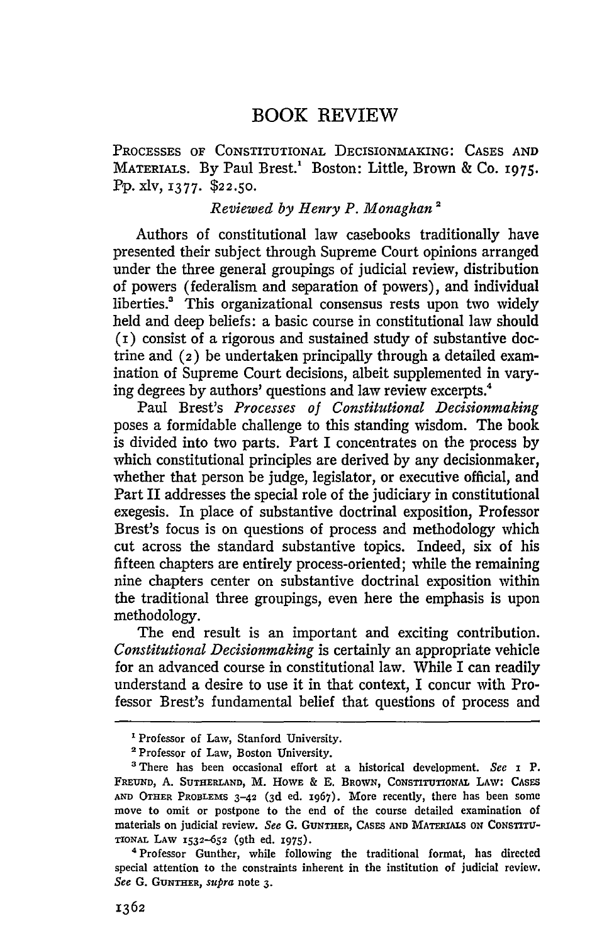## BOOK REVIEW

PROCESSES OF CONSTITUTIONAL DECISIONMAKING: CASES AND MATERIALS. By Paul Brest.<sup>1</sup> Boston: Little, Brown & Co. 1975. Pp. xlv, 1377. **\$22.50.**

## *Reviewed by Henry P. Monaghan2*

Authors of constitutional law casebooks traditionally have presented their subject through Supreme Court opinions arranged under the three general groupings of judicial review, distribution of powers (federalism and separation of powers), and individual liberties.' This organizational consensus rests upon two widely held and deep beliefs: a basic course in constitutional law should (i) consist of a rigorous and sustained study of substantive doctrine and **(2)** be undertaken principally through a detailed examination of Supreme Court decisions, albeit supplemented in varying degrees by authors' questions and law review excerpts.4

Paul Brest's *Processes of Constitutional Decisionmaking* poses a formidable challenge to this standing wisdom. The book is divided into two parts. Part I concentrates on the process by which constitutional principles are derived by any decisionmaker, whether that person be judge, legislator, or executive official, and Part II addresses the special role of the judiciary in constitutional exegesis. In place of substantive doctrinal exposition, Professor Brest's focus is on questions of process and methodology which cut across the standard substantive topics. Indeed, six of his fifteen chapters are entirely process-oriented; while the remaining nine chapters center on substantive doctrinal exposition within the traditional three groupings, even here the emphasis is upon methodology.

The end result is an important and exciting contribution. *Constitutional Decisionmaking* is certainly an appropriate vehicle for an advanced course in constitutional law. While I can readily understand a desire to use it in that context, I concur with Professor Brest's fundamental belief that questions of process and

<sup>&#</sup>x27;Professor of Law, Stanford University.

**<sup>2</sup>**Professor of Law, Boston University.

<sup>&#</sup>x27;There has been occasional effort at a historical development. *See* I P. FREUND, **A. SUTHERLAND,** M. HOWE & E. BROWN, CONSTITUTIONAL LAW: CASES **AND** OTHER PROBLEMS **3-42 (3d ed.** 1967). More recently, there has been some move to omit or postpone to the end of the course detailed examination of materials on judicial review. *See* **G.** GUNTHER, CASES **AND** MATRaALS *ON* **CONSTrTrU-**TIONAL **LAW** 1532--652 (9th ed. **1975).**

*<sup>4</sup>* Professor Gunther, while following the traditional format, has directed special attention to the constraints inherent in the institution of judicial review. *See* **G. GUNTHER,** *supra* note **3.**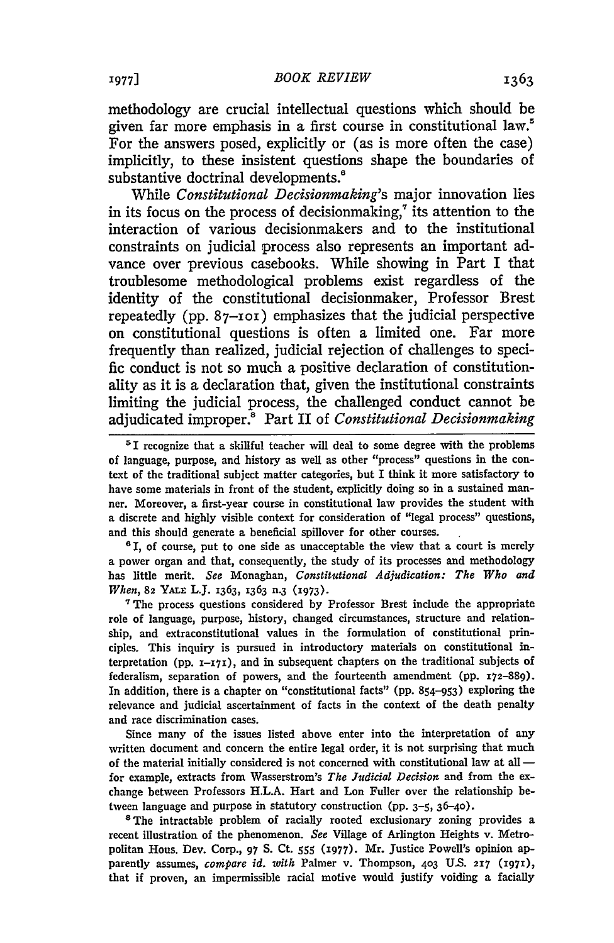methodology are crucial intellectual questions which should be given far more emphasis in a first course in constitutional law.5 For the answers posed, explicitly or (as is more often the case) implicitly, to these insistent questions shape the boundaries of substantive doctrinal developments.<sup>8</sup>

While *Constitutional Decisionmaking's* major innovation lies in its focus on the process of decision making, $\tau$  its attention to the interaction of various decisionmakers and to the institutional constraints on judicial process also represents an important advance over previous casebooks. While showing in Part I that troublesome methodological problems exist regardless of the identity of the constitutional decisionmaker, Professor Brest repeatedly (pp. **87-101)** emphasizes that the judicial perspective on constitutional questions is often a limited one. Far more frequently than realized, judicial rejection of challenges to specific conduct is not so much a positive declaration of constitutionality as it is a declaration that, given the institutional constraints limiting the judicial process, the challenged conduct cannot be adjudicated improper.! Part II of *Constitutional Decisionmaking*

**'** I, of course, put to one side as unacceptable the view that a court is merely a power organ and that, consequently, the study of its processes and methodology has little merit. *See* Monaghan, *Constitutional Adjudication: The Who and* When, **82 YALE** L.J. 1363, 1363 n.3 **(i973).**

**"** The process questions considered **by** Professor Brest include the appropriate role of language, purpose, history, changed circumstances, structure and relationship, and extraconstitutional values in the formulation of constitutional principles. This inquiry is pursued in introductory materials on constitutional interpretation (pp. **X-17),** and in subsequent chapters on the traditional subjects of federalism, separation of powers, and the fourteenth amendment (pp. 172-889). In addition, there is a chapter on "constitutional facts" (pp. 854-953) exploring the relevance and judicial ascertainment of facts in the context of the death penalty and race discrimination cases.

Since many of the issues listed above enter into the interpretation of any written document and concern the entire legal order, it is not surprising that much of the material initially considered is not concerned with constitutional law at all  for example, extracts from Wasserstrom's *The Judicial Decision* and from the exchange between Professors H.L.A. Hart and Lon Fuller over the relationship between language and purpose in statutory construction (pp. 3-5, 36-40).

<sup>8</sup>The intractable problem of racially rooted exclusionary zoning provides a recent illustration of the phenomenon. *See* Village of Arlington Heights v. Metropolitan Hous. Dev. Corp., 97 **S.** Ct. **555** (i977). Mr. Justice Powell's opinion apparently assumes, *compare id. with* Palmer v. Thompson, **403 US. 217 (I971),** that if proven, an impermissible racial motive would justify voiding a facially

**<sup>&#</sup>x27;I** recognize that a skillful teacher will deal to some degree with the problems of language, purpose, and history as well as other "process" questions in the context of the traditional subject matter categories, but I think it more satisfactory to have some materials in front of the student, explicitly doing so in a sustained manner. Moreover, a first-year course in constitutional law provides the student with a discrete and highly visible context for consideration of "legal process" questions, and this should generate a beneficial spillover for other courses.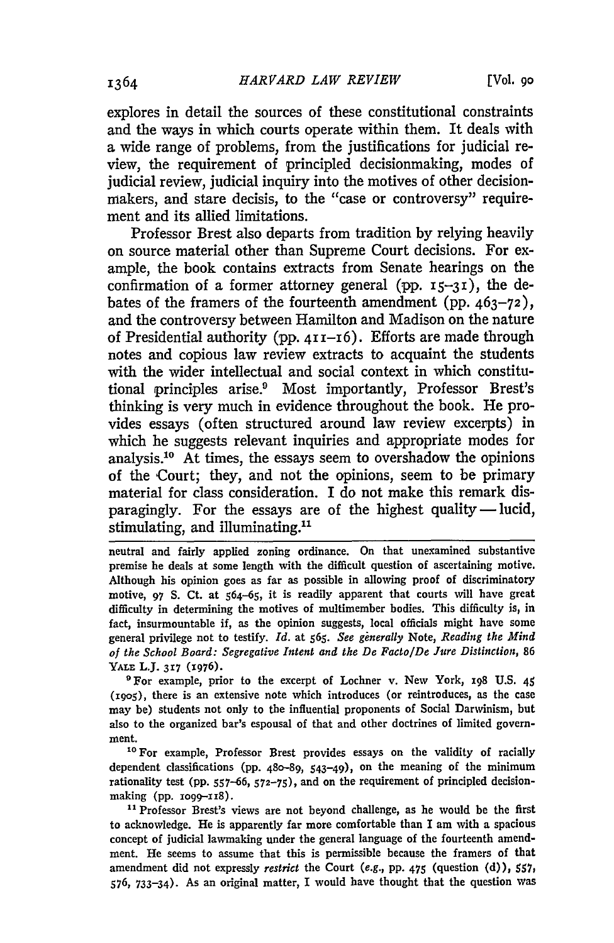explores in detail the sources of these constitutional constraints and the ways in which courts operate within them. It deals with a wide range of problems, from the justifications for judicial review, the requirement of principled decisionmaking, modes of judicial review, judicial inquiry into the motives of other decisionmakers, and stare decisis, to the "case or controversy" requirement and its allied limitations.

Professor Brest also departs from tradition by relying heavily on source material other than Supreme Court decisions. For example, the book contains extracts from Senate hearings on the confirmation of a former attorney general (pp.  $15-31$ ), the debates of the framers of the fourteenth amendment (pp.  $463-72$ ), and the controversy between Hamilton and Madison on the nature of Presidential authority (pp. 411-16). Efforts are made through notes and copious law review extracts to acquaint the students with the wider intellectual and social context in which constitutional principles arise.<sup>9</sup> Most importantly, Professor Brest's thinking is very much in evidence throughout the book. He provides essays (often structured around law review excerpts) in which he suggests relevant inquiries and appropriate modes for analysis.<sup>10</sup> At times, the essays seem to overshadow the opinions of the Court; they, and not the opinions, seem to be primary material for class consideration. I do not make this remark disparagingly. For the essays are of the highest quality **-** lucid, stimulating, and illuminating.<sup>11</sup>

neutral and fairly applied zoning ordinance. On that unexamined substantive premise he deals at some length with the difficult question of ascertaining motive. Although his opinion goes as far as possible in allowing proof of discriminatory motive, **97 S.** Ct. at 564-65, it is readily apparent that courts will have great difficulty in determining the motives of multimember bodies. This difficulty is, in fact, insurmountable if, as the opinion suggests, local officials might have some general privilege not to testify. *Id.* at **565.** *See ginerally* Note, *Reading the Mind of the School Board: Segregative Intent and the De Facto/De Jure Distinction,* <sup>86</sup> **YALE L.J. 317** (1976).

'For example, prior to the excerpt of Lochner v. New York, 198 **U.S.** 45 (igo5), there is an extensive note which introduces (or reintroduces, as the case may be) students not only to the influential proponents of Social Darwinism, but also to the organized bar's espousal of that and other doctrines of limited government.

<sup>10</sup> For example, Professor Brest provides essays on the validity of racially dependent classifications (pp. 480-89, 543-49), on the meaning of the minimum rationality test (pp. 557-66, **572-75),** and on the requirement of principled decisionmaking (pp. **io99-1I8).**

<sup>11</sup> Professor Brest's views are not beyond challenge, as he would be the first to acknowledge. He is apparently far more comfortable than I am with a spacious concept of judicial lawmaking under the general language of the fourteenth amendment. He seems to assume that this is permissible because the framers of that amendment did not expressly *restrict* the Court *(e.g.,* pp. 475 (question (d)), 557, 576, 733-34). As an original matter, I would have thought that the question was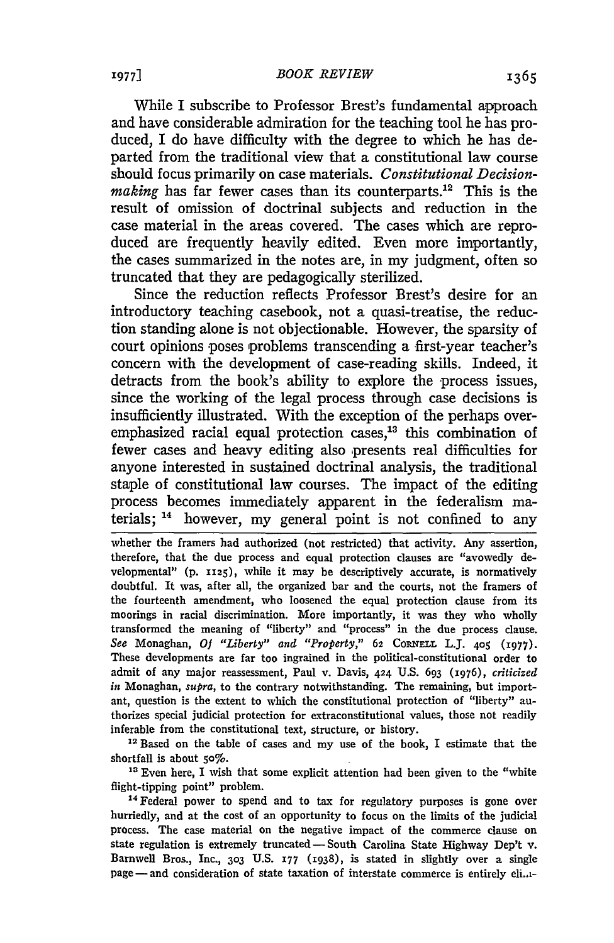While I subscribe to Professor Brest's fundamental approach and have considerable admiration for the teaching tool he has produced, I do have difficulty with the degree to which he has departed from the traditional view that a constitutional law course should focus primarily on case materials. *Constitutional Decisionmaking* has far fewer cases than its counterparts.<sup>12</sup> This is the result of omission of doctrinal subjects and reduction in the case material in the areas covered. The cases which are reproduced are frequently heavily edited. Even more importantly, the cases summarized in the notes are, in my judgment, often so truncated that they are pedagogically sterilized.

Since the reduction reflects Professor Brest's desire for an introductory teaching casebook, not a quasi-treatise, the reduction standing alone is not objectionable. However, the sparsity of court opinions poses problems transcending a first-year teacher's concern with the development of case-reading skills. Indeed, it detracts from the book's ability to explore the process issues, since the working of the legal process through case decisions is insufficiently illustrated. With the exception of the perhaps overemphasized racial equal protection cases, $13$  this combination of fewer cases and heavy editing also presents real difficulties for anyone interested in sustained doctrinal analysis, the traditional staple of constitutional law courses. The impact of the editing process becomes immediately apparent in the federalism materials; **"4** however, my general point is not confined to any

whether the framers had authorized (not restricted) that activity. Any assertion, therefore, that the due process and equal protection clauses are "avowedly developmental" (p. 1125), while it may be descriptively accurate, is normatively doubtful. It was, after all, the organized bar and the courts, not the framers of the fourteenth amendment, who loosened the equal protection clause from its moorings in racial discrimination. More importantly, it was they who wholly transformed the meaning of "liberty" and "process" in the due process clause. See Monaghan, Of "Liberty" and "Property," 62 CORNELL L.J. 405 (1977). These developments are far too ingrained in the political-constitutional order to admit of any major reassessment, Paul v. Davis, 424 U.S. 693 (1976), *criticized in* Monaghan, *supra,* to the contrary notwithstanding. The remaining, but important, question is the extent to which the constitutional protection of "liberty" authorizes special judicial protection for extraconstitutional values, those not readily inferable from the constitutional text, structure, or history.

<sup>12</sup> Based on the table of cases and my use of the book, I estimate that the shortfall is about 50%.

**<sup>13</sup>**Even here, I wish that some explicit attention had been given to the "white flight-tipping point" problem. <sup>14</sup> Federal power to spend and to tax for regulatory purposes is gone over

hurriedly, and at the cost of an opportunity to focus on the limits of the judicial process. The case material on the negative impact of the commerce clause on state regulation is extremely truncated - South Carolina State Highway Dep't v. Barnwell Bros., Inc., **303** U.S. **177** (1938), is stated in slightly over a single page-and consideration of state taxation of interstate commerce is entirely eli..i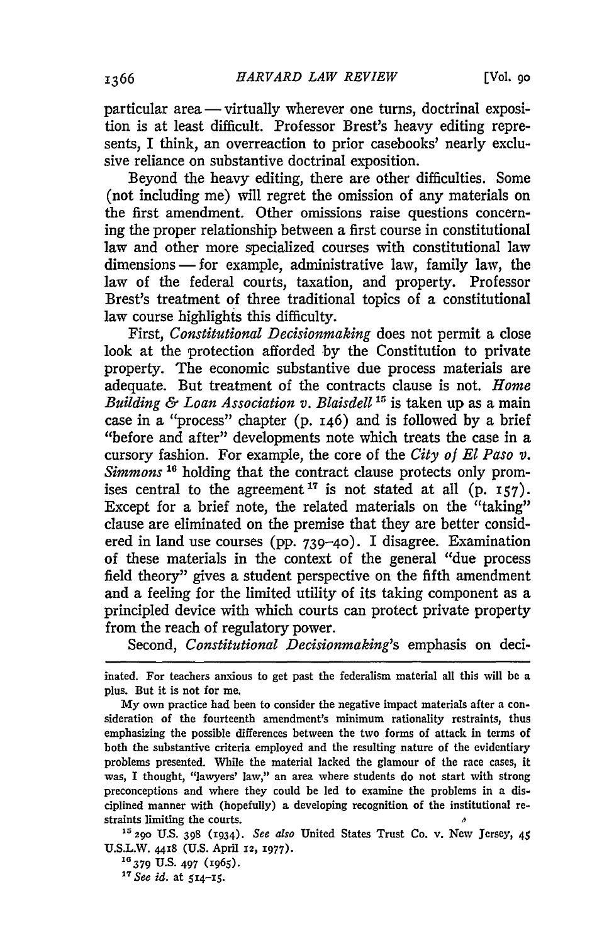particular area — virtually wherever one turns, doctrinal exposition is at least difficult. Professor Brest's heavy editing represents, I think, an overreaction to prior casebooks' nearly exclusive reliance on substantive doctrinal exposition.

Beyond the heavy editing, there are other difficulties. Some (not including me) will regret the omission of any materials on the first amendment. Other omissions raise questions concerning the proper relationship between a first course in constitutional law and other more specialized courses with constitutional law dimensions **-** for example, administrative law, family law, the law of the federal courts, taxation, and property. Professor Brest's treatment of three traditional topics of a constitutional law course highlights this difficulty.

First, *Constitutional Decisionmaking* does not permit a close look at the protection afforded **by** the Constitution to private property. The economic substantive due process materials are adequate. But treatment of the contracts clause is not. *Home Building & Loan Association v. Blaisdel 11* is taken up as a main case in a "process" chapter (p. 146) and is followed **by** a brief "before and after" developments note which treats the case in a cursory fashion. For example, the core of the *City of El Paso v. Simmons* **16** holding that the contract clause protects only promises central to the agreement  $17$  is not stated at all (p.  $157$ ). Except for a brief note, the related materials on the "taking" clause are eliminated on the premise that they are better considered in land use courses (pp. **739-40).** I disagree. Examination of these materials in the context of the general "due process field theory" gives a student perspective on the fifth amendment and a feeling for the limited utility of its taking component as a principled device with which courts can protect private property from the reach of regulatory power.

Second, *Constitutional Decisionmaking's* emphasis on deci-

inated. For teachers anxious to get past the federalism material all this will be a plus. But it is not for me.

My own practice had been to consider the negative impact materials after a consideration of the fourteenth amendment's minimum rationality restraints, thus emphasizing the possible differences between the two forms of attack in terms of both the substantive criteria employed and the resulting nature of the evidentiary problems presented. While the material lacked the glamour of the race cases, it was, I thought, "lawyers' law," an area where students do not start with strong preconceptions and where they could be led to examine the problems in a disciplined manner with (hopefully) a developing recognition of the institutional restraints limiting the courts.

**I5** 290 **U.S. 398** (1934). *See also* United States Trust Co. v. New Jersey, 45 **U.S.L.W. 44x8 (U.S.** April **12,** 1977). **16379 U.S. 497** (I965).

*<sup>17</sup>See id.* at **514-15.**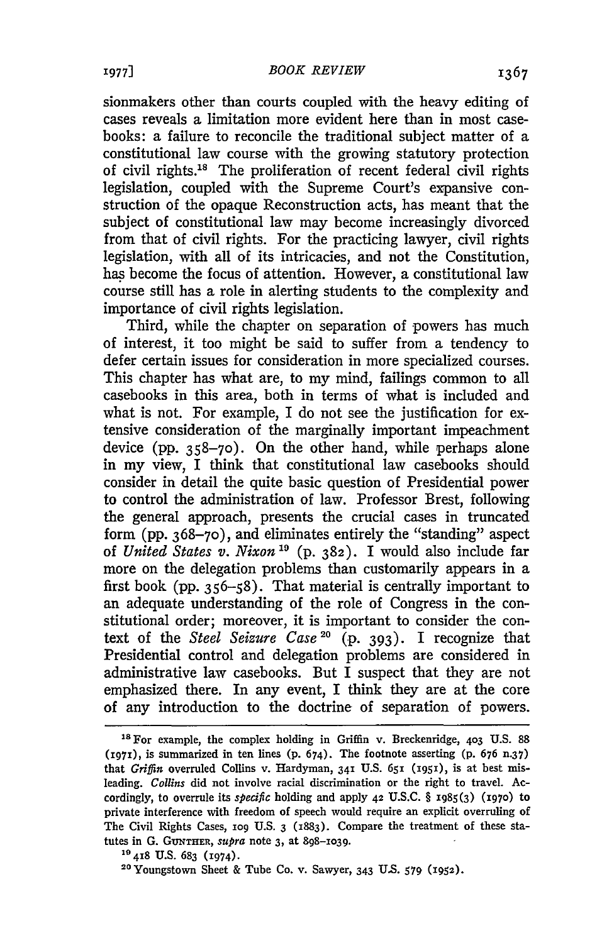sionmakers other than courts coupled with the heavy editing of cases reveals a limitation more evident here than in most casebooks: a failure to reconcile the traditional subject matter of a constitutional law course with the growing statutory protection of civil rights.<sup>18</sup> The proliferation of recent federal civil rights legislation, coupled with the Supreme Court's expansive construction of the opaque Reconstruction acts, has meant that the subject of constitutional law may become increasingly divorced from that of civil rights. For the practicing lawyer, civil rights legislation, with all of its intricacies, and not the Constitution, has become the focus of attention. However, a constitutional law course still has a role in alerting students to the complexity and importance of civil rights legislation.

Third, while the chapter on separation of powers has much of interest, it too might be said to suffer from a tendency to defer certain issues for consideration in more specialized courses. This chapter has what are, to my mind, failings common to all casebooks in this area, both in terms of what is included and what is not. For example, I do not see the justification for extensive consideration of the marginally important impeachment device (pp. 358-70). On the other hand, while perhaps alone in my view, I think that constitutional law casebooks should consider in detail the quite basic question of Presidential power to control the administration of law. Professor Brest, following the general approach, presents the crucial cases in truncated form (pp. 368-70), and eliminates entirely the "standing" aspect of *United States v. Nixon "9* (p. 382). I would also include far more on the delegation problems than customarily appears in a first book (pp. 356-58). That material is centrally important to an adequate understanding of the role of Congress in the constitutional order; moreover, it is important to consider the context of the *Steel Seizure Case 20* (p. 393). I recognize that Presidential control and delegation problems are considered in administrative law casebooks. But I suspect that they are not emphasized there. In any event, I think they are at the core of any introduction to the doctrine of separation of powers.

**<sup>18</sup>**For example, the complex holding in Griffin v. Breckenridge, **403 U.S.** 88 **(i97i),** is summarized in ten lines **(p.** 674). The footnote asserting **(p.** 676 n.37) that *Griffin* overruled Collins v. Hardyman, 341 U.S. 651 (1951), is at best misleading. *Collins* did not involve racial discrimination or the right to travel. Accordingly, to overrule its *specific* holding and apply 42 **U.S.C.** § **1985(3) (i97o)** to private interference with freedom of speech would require an explicit overruling of The Civil Rights Cases, **109 U.S.** 3 (1883). Compare the treatment of these statutes in **G. GUNTHER,** *supra* note **3,** at **898-io39.**

**<sup>1</sup>o** 418 **U.S. 683** (1974).

**<sup>20</sup>**Youngstown Sheet & Tube Co. v. Sawyer, 343 **U.S. 579 (1952).**